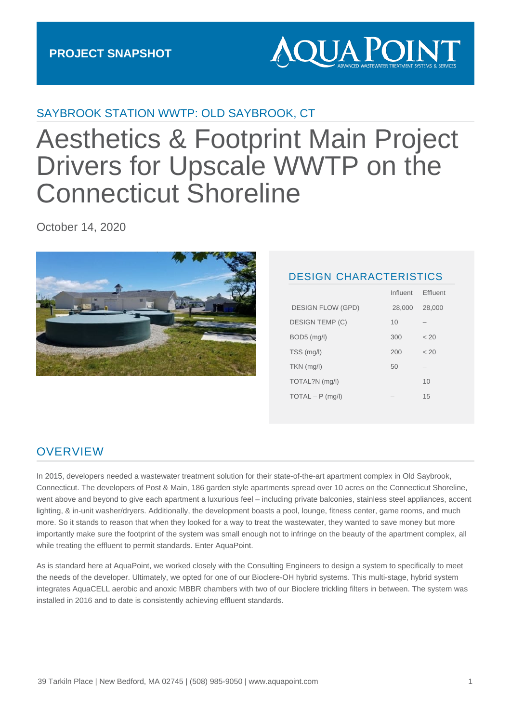

### SAYBROOK STATION WWTP: OLD SAYBROOK, CT

# Aesthetics & Footprint Main Project Drivers for Upscale WWTP on the Connecticut Shoreline

October 14, 2020



#### DESIGN CHARACTERISTICS

Influent Effluent

|                          | 11111111111 | <u>Liiuvin</u> |
|--------------------------|-------------|----------------|
| <b>DESIGN FLOW (GPD)</b> | 28,000      | 28,000         |
| <b>DESIGN TEMP (C)</b>   | 10          |                |
| BOD5 (mg/l)              | 300         | < 20           |
| TSS (mg/l)               | 200         | < 20           |
| $TKN$ (mg/l)             | 50          |                |
| TOTAL?N (mg/l)           |             | 10             |
| $TOTAL - P$ (mg/l)       |             | 15             |
|                          |             |                |

### **OVERVIEW**

In 2015, developers needed a wastewater treatment solution for their state-of-the-art apartment complex in Old Saybrook, Connecticut. The developers of Post & Main, 186 garden style apartments spread over 10 acres on the Connecticut Shoreline, went above and beyond to give each apartment a luxurious feel – including private balconies, stainless steel appliances, accent lighting, & in-unit washer/dryers. Additionally, the development boasts a pool, lounge, fitness center, game rooms, and much more. So it stands to reason that when they looked for a way to treat the wastewater, they wanted to save money but more importantly make sure the footprint of the system was small enough not to infringe on the beauty of the apartment complex, all while treating the effluent to permit standards. Enter AquaPoint.

As is standard here at AquaPoint, we worked closely with the Consulting Engineers to design a system to specifically to meet the needs of the developer. Ultimately, we opted for one of our Bioclere-OH hybrid systems. This multi-stage, hybrid system integrates AquaCELL aerobic and anoxic MBBR chambers with two of our Bioclere trickling filters in between. The system was installed in 2016 and to date is consistently achieving effluent standards.